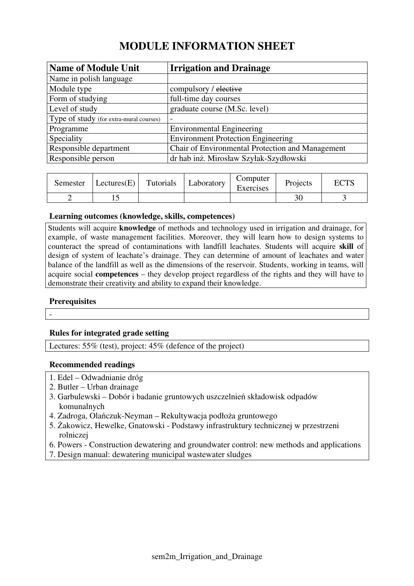# **MODULE INFORMATION SHEET**

| <b>Name of Module Unit</b>              | <b>Irrigation and Drainage</b>                   |
|-----------------------------------------|--------------------------------------------------|
| Name in polish language                 |                                                  |
| Module type                             | compulsory / elective                            |
| Form of studying                        | full-time day courses                            |
| Level of study                          | graduate course (M.Sc. level)                    |
| Type of study (for extra-mural courses) | -                                                |
| Programme                               | <b>Environmental Engineering</b>                 |
| Speciality                              | <b>Environment Protection Engineering</b>        |
| Responsible department                  | Chair of Environmental Protection and Management |
| Responsible person                      | dr hab inż. Mirosław Szyłak-Szydłowski           |

| Semester | Lectures(E) | Tutorials | Laboratory | Computer<br>Exercises | Projects | <b>ECTS</b> |
|----------|-------------|-----------|------------|-----------------------|----------|-------------|
|          |             |           |            |                       |          |             |

# **Learning outcomes (knowledge, skills, competences)**

Students will acquire **knowledge** of methods and technology used in irrigation and drainage, for example, of waste management facilities. Moreover, they will learn how to design systems to counteract the spread of contaminations with landfill leachates. Students will acquire **skill** of design of system of leachate's drainage. They can determine of amount of leachates and water balance of the landfill as well as the dimensions of the reservoir. Students, working in teams, will acquire social **competences** – they develop project regardless of the rights and they will have to demonstrate their creativity and ability to expand their knowledge.

# **Prerequisites**

-

# **Rules for integrated grade setting**

Lectures: 55% (test), project: 45% (defence of the project)

# **Recommended readings**

- 1. Edel Odwadnianie dróg
- 2. Butler Urban drainage
- 3. Garbulewski Dobór i badanie gruntowych uszczelnień składowisk odpadów komunalnych
- 4. Zadroga, Olańczuk-Neyman Rekultywacja podłoża gruntowego
- 5. Żakowicz, Hewelke, Gnatowski Podstawy infrastruktury technicznej w przestrzeni rolniczej
- 6. Powers Construction dewatering and groundwater control: new methods and applications
- 7. Design manual: dewatering municipal wastewater sludges